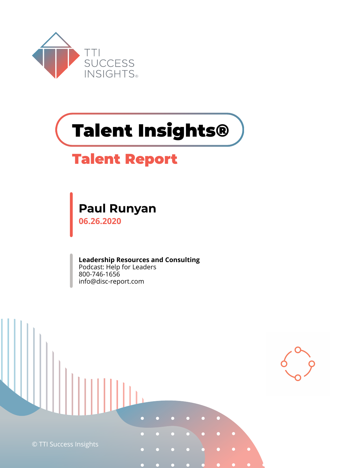

# **Talent Insights®**

### **Talent Report**

## **Paul Runyan**

**06.26.2020**

**Leadership Resources and Consulting** Podcast: Help for Leaders 800-746-1656 info@disc-report.com

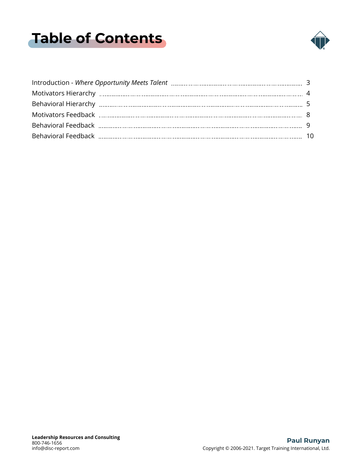## <span id="page-1-0"></span>**Table of Contents**

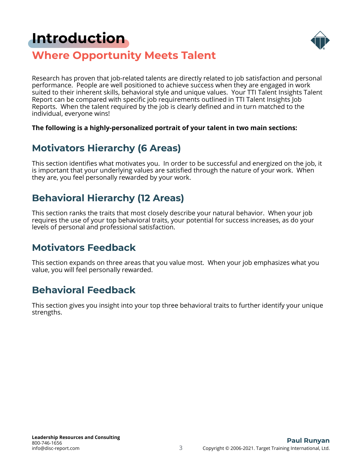### <span id="page-2-0"></span>**[Introduction](#page-1-0)**



### **Where Opportunity Meets Talent**

Research has proven that job-related talents are directly related to job satisfaction and personal performance. People are well positioned to achieve success when they are engaged in work suited to their inherent skills, behavioral style and unique values. Your TTI Talent Insights Talent Report can be compared with specific job requirements outlined in TTI Talent Insights Job Reports. When the talent required by the job is clearly defined and in turn matched to the individual, everyone wins!

#### **The following is a highly-personalized portrait of your talent in two main sections:**

### **Motivators Hierarchy (6 Areas)**

This section identifies what motivates you. In order to be successful and energized on the job, it is important that your underlying values are satisfied through the nature of your work. When they are, you feel personally rewarded by your work.

### **Behavioral Hierarchy (12 Areas)**

This section ranks the traits that most closely describe your natural behavior. When your job requires the use of your top behavioral traits, your potential for success increases, as do your levels of personal and professional satisfaction.

#### **Motivators Feedback**

This section expands on three areas that you value most. When your job emphasizes what you value, you will feel personally rewarded.

### **Behavioral Feedback**

This section gives you insight into your top three behavioral traits to further identify your unique strengths.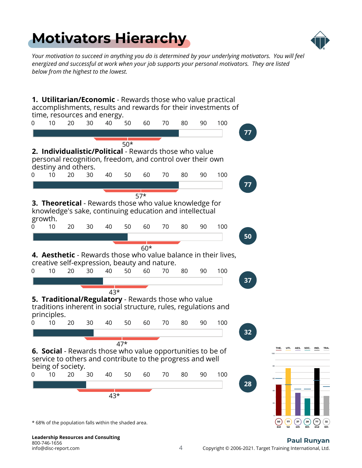## <span id="page-3-0"></span>**[Motivators Hierarchy](#page-1-0)**



*Your motivation to succeed in anything you do is determined by your underlying motivators. You will feel energized and successful at work when your job supports your personal motivators. They are listed below from the highest to the lowest.*



#### 4 Copyright © 2006-2021. Target Training International, Ltd. **Paul Runyan**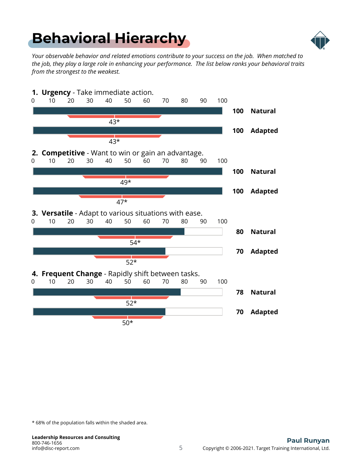## <span id="page-4-0"></span>**[Behavioral Hierarchy](#page-1-0)**



*Your observable behavior and related emotions contribute to your success on the job. When matched to the job, they play a large role in enhancing your performance. The list below ranks your behavioral traits from the strongest to the weakest.*



\* 68% of the population falls within the shaded area.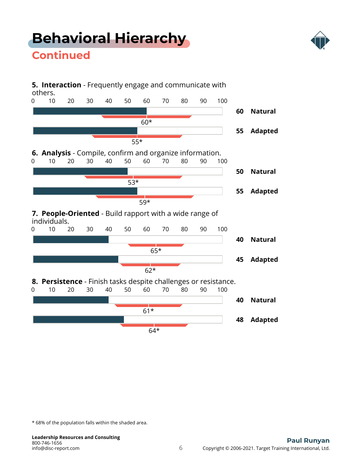## **[Behavioral Hierarchy](#page-1-0)**



### **Continued**



\* 68% of the population falls within the shaded area.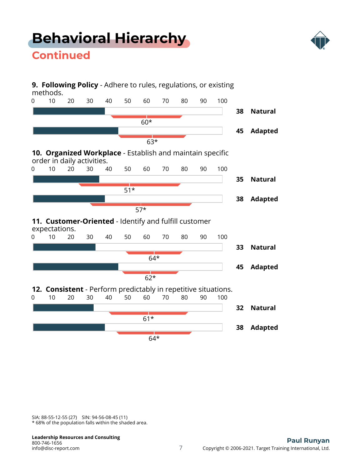## **[Behavioral Hierarchy](#page-1-0)**



### **Continued**



\* 68% of the population falls within the shaded area. SIA: 88-55-12-55 (27) SIN: 94-56-08-45 (11)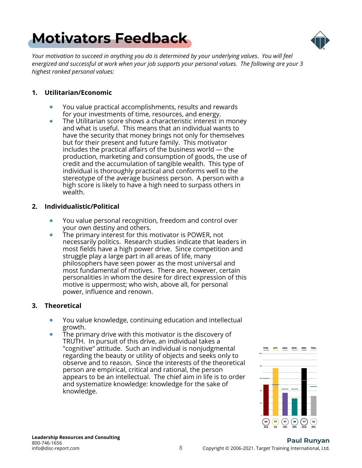## <span id="page-7-0"></span>**[Motivators Feedback](#page-1-0)**



*Your motivation to succeed in anything you do is determined by your underlying values. You will feel energized and successful at work when your job supports your personal values. The following are your 3 highest ranked personal values:*

#### **1. Utilitarian/Economic**

- $\bullet$ You value practical accomplishments, results and rewards for your investments of time, resources, and energy.
- $\bullet$ The Utilitarian score shows a characteristic interest in money and what is useful. This means that an individual wants to have the security that money brings not only for themselves but for their present and future family. This motivator includes the practical affairs of the business world — the production, marketing and consumption of goods, the use of credit and the accumulation of tangible wealth. This type of individual is thoroughly practical and conforms well to the stereotype of the average business person. A person with a high score is likely to have a high need to surpass others in wealth.

#### **2. Individualistic/Political**

- You value personal recognition, freedom and control over  $\bullet$ your own destiny and others.
- The primary interest for this motivator is POWER, not  $\bullet$ necessarily politics. Research studies indicate that leaders in most fields have a high power drive. Since competition and struggle play a large part in all areas of life, many philosophers have seen power as the most universal and most fundamental of motives. There are, however, certain personalities in whom the desire for direct expression of this motive is uppermost; who wish, above all, for personal power, influence and renown.

#### **3. Theoretical**

- You value knowledge, continuing education and intellectual growth.
- The primary drive with this motivator is the discovery of TRUTH. In pursuit of this drive, an individual takes a "cognitive" attitude. Such an individual is nonjudgmental regarding the beauty or utility of objects and seeks only to observe and to reason. Since the interests of the theoretical person are empirical, critical and rational, the person appears to be an intellectual. The chief aim in life is to order and systematize knowledge: knowledge for the sake of knowledge.

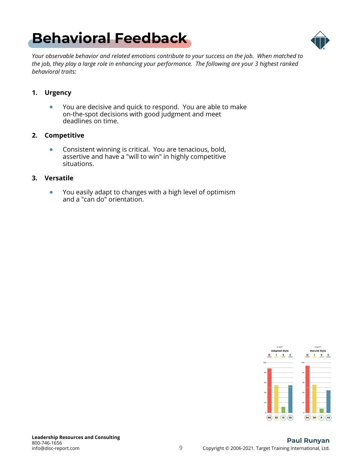## <span id="page-8-0"></span>**[Behavioral Feedback](#page-1-0)**



*Your observable behavior and related emotions contribute to your success on the job. When matched to the job, they play a large role in enhancing your performance. The following are your 3 highest ranked behavioral traits:*

#### **1. Urgency**

 $\bullet$ You are decisive and quick to respond. You are able to make on-the-spot decisions with good judgment and meet deadlines on time.

#### **2. Competitive**

 $\bullet$ Consistent winning is critical. You are tenacious, bold, assertive and have a "will to win" in highly competitive situations.

#### **3. Versatile**

 $\bullet$ You easily adapt to changes with a high level of optimism and a "can do" orientation.